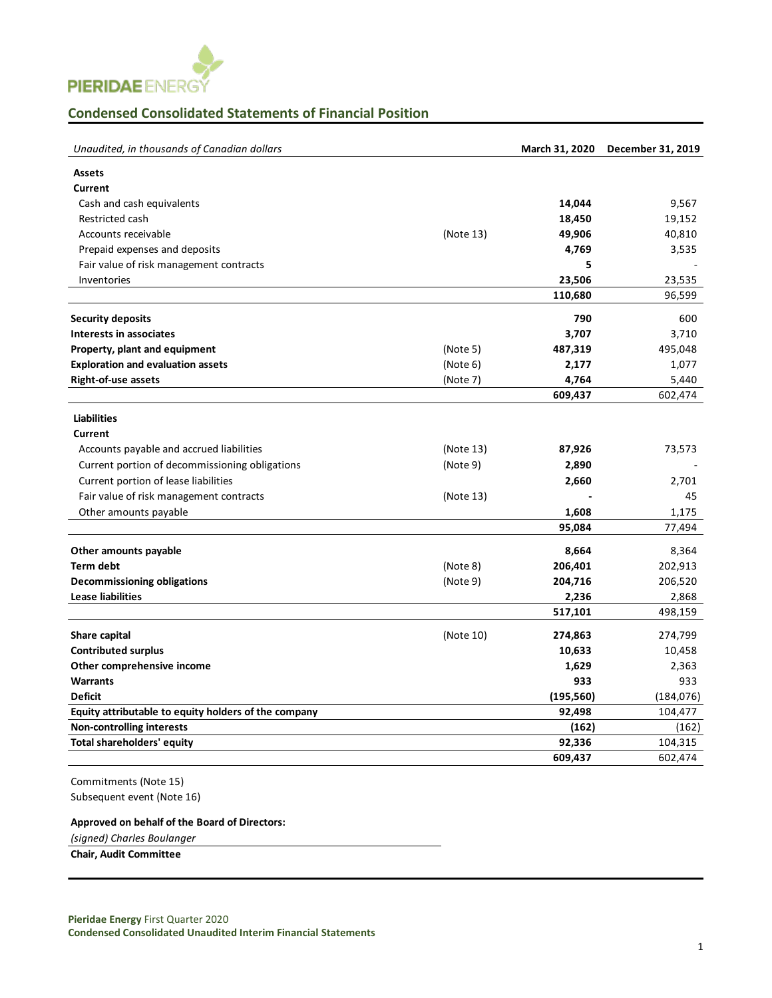

## **Condensed Consolidated Statements of Financial Position**

| Unaudited, in thousands of Canadian dollars          |           | March 31, 2020 | December 31, 2019 |
|------------------------------------------------------|-----------|----------------|-------------------|
| <b>Assets</b>                                        |           |                |                   |
| <b>Current</b>                                       |           |                |                   |
| Cash and cash equivalents                            |           | 14,044         | 9,567             |
| Restricted cash                                      |           | 18,450         | 19,152            |
| Accounts receivable                                  | (Note 13) | 49,906         | 40,810            |
| Prepaid expenses and deposits                        |           | 4,769          | 3,535             |
| Fair value of risk management contracts              |           | 5              |                   |
| Inventories                                          |           | 23,506         | 23,535            |
|                                                      |           | 110,680        | 96,599            |
| <b>Security deposits</b>                             |           | 790            | 600               |
| Interests in associates                              |           | 3,707          | 3,710             |
| Property, plant and equipment                        | (Note 5)  | 487,319        | 495,048           |
| <b>Exploration and evaluation assets</b>             | (Note 6)  | 2,177          | 1,077             |
| <b>Right-of-use assets</b>                           | (Note 7)  | 4,764          | 5,440             |
|                                                      |           | 609,437        | 602,474           |
| <b>Liabilities</b>                                   |           |                |                   |
| Current                                              |           |                |                   |
| Accounts payable and accrued liabilities             | (Note 13) | 87,926         | 73,573            |
| Current portion of decommissioning obligations       | (Note9)   | 2,890          |                   |
| Current portion of lease liabilities                 |           | 2,660          | 2,701             |
| Fair value of risk management contracts              | (Note 13) |                | 45                |
| Other amounts payable                                |           | 1,608          | 1,175             |
|                                                      |           | 95,084         | 77,494            |
| Other amounts payable                                |           | 8,664          | 8,364             |
| <b>Term debt</b>                                     | (Note 8)  | 206,401        | 202,913           |
| <b>Decommissioning obligations</b>                   | (Note9)   | 204,716        | 206,520           |
| <b>Lease liabilities</b>                             |           | 2,236          | 2,868             |
|                                                      |           | 517,101        | 498,159           |
| Share capital                                        | (Note 10) | 274,863        | 274,799           |
| <b>Contributed surplus</b>                           |           | 10,633         | 10,458            |
| Other comprehensive income                           |           | 1,629          | 2,363             |
| <b>Warrants</b>                                      |           | 933            | 933               |
| <b>Deficit</b>                                       |           | (195, 560)     | (184, 076)        |
| Equity attributable to equity holders of the company |           | 92,498         | 104,477           |
| <b>Non-controlling interests</b>                     |           | (162)          | (162)             |
| Total shareholders' equity                           |           | 92,336         | 104,315           |
|                                                      |           | 609,437        | 602,474           |
|                                                      |           |                |                   |

Commitments (Note 15) Subsequent event (Note 16)

## **Approved on behalf of the Board of Directors:**

*(signed) Charles Boulanger*

**Chair, Audit Committee**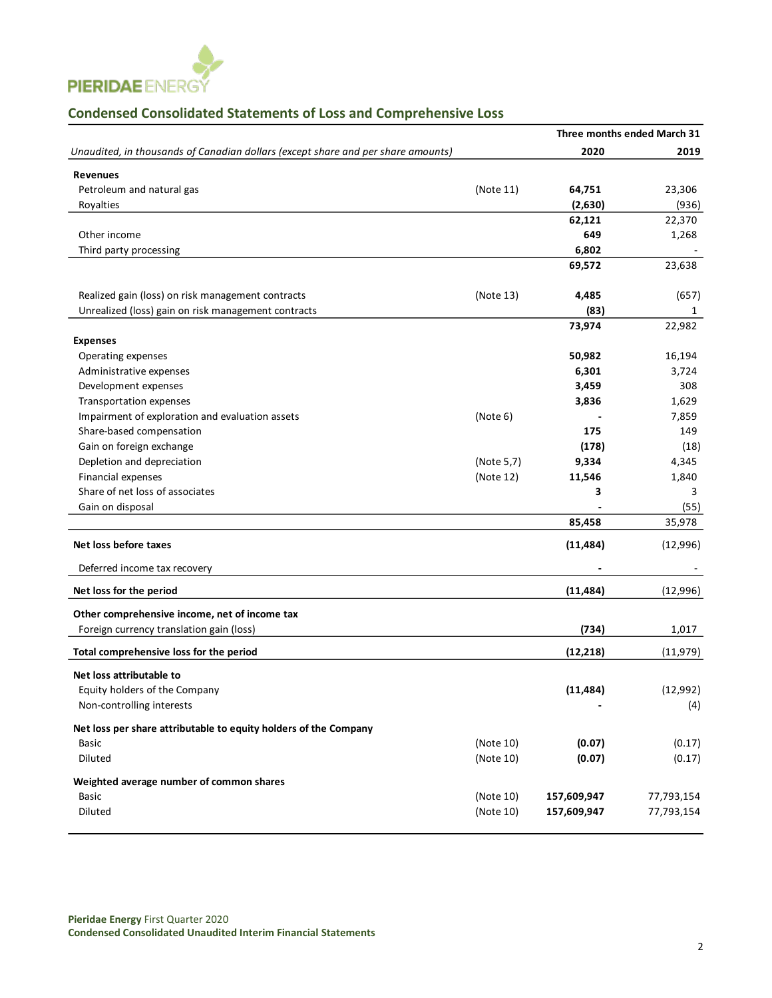

## **Condensed Consolidated Statements of Loss and Comprehensive Loss**

|                                                                                  |            |             | Three months ended March 31 |
|----------------------------------------------------------------------------------|------------|-------------|-----------------------------|
| Unaudited, in thousands of Canadian dollars (except share and per share amounts) |            | 2020        | 2019                        |
| <b>Revenues</b>                                                                  |            |             |                             |
| Petroleum and natural gas                                                        | (Note 11)  | 64,751      | 23,306                      |
| Royalties                                                                        |            | (2,630)     | (936)                       |
|                                                                                  |            | 62,121      | 22,370                      |
| Other income                                                                     |            | 649         | 1,268                       |
| Third party processing                                                           |            | 6,802       |                             |
|                                                                                  |            | 69,572      | 23,638                      |
| Realized gain (loss) on risk management contracts                                | (Note 13)  | 4,485       | (657)                       |
| Unrealized (loss) gain on risk management contracts                              |            | (83)        | 1                           |
|                                                                                  |            | 73,974      | 22,982                      |
| <b>Expenses</b>                                                                  |            |             |                             |
| Operating expenses                                                               |            | 50,982      | 16,194                      |
| Administrative expenses                                                          |            | 6,301       | 3,724                       |
| Development expenses                                                             |            | 3,459       | 308                         |
| <b>Transportation expenses</b>                                                   |            | 3,836       | 1,629                       |
| Impairment of exploration and evaluation assets                                  | (Note 6)   |             | 7,859                       |
| Share-based compensation                                                         |            | 175         | 149                         |
| Gain on foreign exchange                                                         |            | (178)       | (18)                        |
| Depletion and depreciation                                                       | (Note 5,7) | 9,334       | 4,345                       |
| Financial expenses                                                               | (Note 12)  | 11,546      | 1,840                       |
| Share of net loss of associates                                                  |            | 3           | 3                           |
| Gain on disposal                                                                 |            |             | (55)                        |
|                                                                                  |            | 85,458      | 35,978                      |
| Net loss before taxes                                                            |            | (11, 484)   | (12,996)                    |
| Deferred income tax recovery                                                     |            |             |                             |
| Net loss for the period                                                          |            | (11, 484)   | (12,996)                    |
| Other comprehensive income, net of income tax                                    |            |             |                             |
| Foreign currency translation gain (loss)                                         |            | (734)       | 1,017                       |
| Total comprehensive loss for the period                                          |            | (12, 218)   | (11, 979)                   |
| Net loss attributable to                                                         |            |             |                             |
| Equity holders of the Company                                                    |            | (11, 484)   | (12,992)                    |
| Non-controlling interests                                                        |            |             | (4)                         |
| Net loss per share attributable to equity holders of the Company                 |            |             |                             |
| <b>Basic</b>                                                                     | (Note 10)  | (0.07)      | (0.17)                      |
| Diluted                                                                          | (Note 10)  | (0.07)      | (0.17)                      |
| Weighted average number of common shares                                         |            |             |                             |
| Basic                                                                            | (Note 10)  | 157,609,947 | 77,793,154                  |
| Diluted                                                                          | (Note 10)  | 157,609,947 | 77,793,154                  |
|                                                                                  |            |             |                             |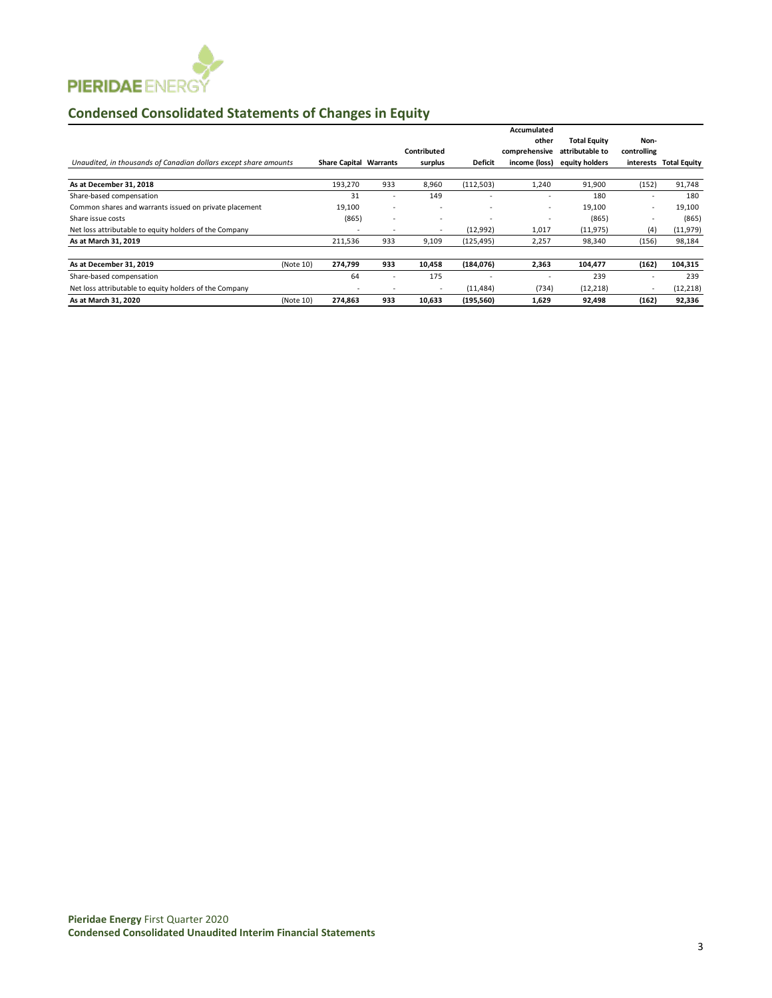

# **Condensed Consolidated Statements of Changes in Equity**

|                                                                  |           |                               |                          |                          |                | Accumulated              |                     |             |                        |
|------------------------------------------------------------------|-----------|-------------------------------|--------------------------|--------------------------|----------------|--------------------------|---------------------|-------------|------------------------|
|                                                                  |           |                               |                          |                          |                | other                    | <b>Total Equity</b> | Non-        |                        |
|                                                                  |           |                               |                          | Contributed              |                | comprehensive            | attributable to     | controlling |                        |
| Unaudited, in thousands of Canadian dollars except share amounts |           | <b>Share Capital Warrants</b> |                          | surplus                  | <b>Deficit</b> | income (loss)            | equity holders      |             | interests Total Equity |
| As at December 31, 2018                                          |           | 193,270                       | 933                      | 8,960                    | (112, 503)     | 1,240                    | 91,900              | (152)       | 91,748                 |
| Share-based compensation                                         |           | 31                            | ٠                        | 149                      |                | ٠                        | 180                 |             | 180                    |
| Common shares and warrants issued on private placement           |           | 19,100                        | $\overline{\phantom{a}}$ |                          |                | $\overline{\phantom{a}}$ | 19,100              | $\sim$      | 19,100                 |
| Share issue costs                                                |           | (865)                         | $\overline{\phantom{a}}$ | ٠                        |                | ٠                        | (865)               |             | (865)                  |
| Net loss attributable to equity holders of the Company           |           |                               | $\overline{\phantom{a}}$ | $\overline{\phantom{a}}$ | (12,992)       | 1,017                    | (11, 975)           | (4)         | (11, 979)              |
| As at March 31, 2019                                             |           | 211,536                       | 933                      | 9,109                    | (125, 495)     | 2,257                    | 98,340              | (156)       | 98,184                 |
| As at December 31, 2019                                          | (Note 10) | 274,799                       | 933                      | 10,458                   | (184,076)      | 2,363                    | 104,477             | (162)       | 104,315                |
| Share-based compensation                                         |           | 64                            | $\overline{\phantom{a}}$ | 175                      |                | ٠                        | 239                 |             | 239                    |
| Net loss attributable to equity holders of the Company           |           | $\overline{\phantom{a}}$      | $\overline{\phantom{a}}$ | $\overline{\phantom{a}}$ | (11, 484)      | (734)                    | (12, 218)           | $\sim$      | (12, 218)              |
| As at March 31, 2020                                             | (Note 10) | 274.863                       | 933                      | 10.633                   | (195, 560)     | 1.629                    | 92.498              | (162)       | 92,336                 |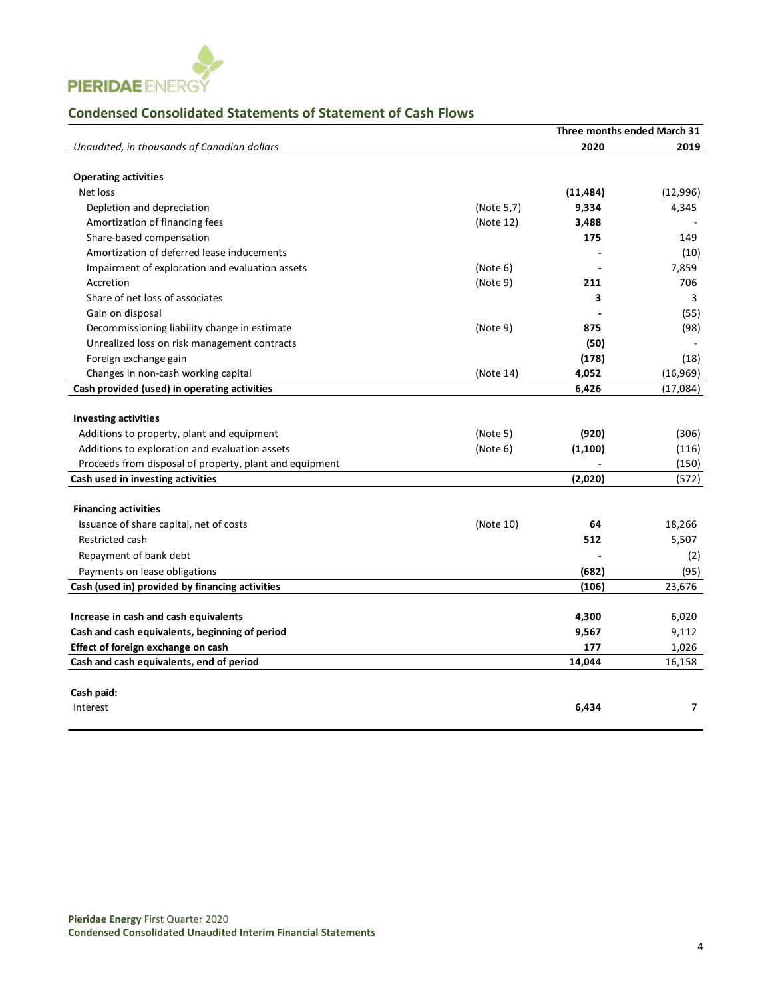

## **Condensed Consolidated Statements of Statement of Cash Flows**

|                                                         |            | Three months ended March 31 |                |
|---------------------------------------------------------|------------|-----------------------------|----------------|
| Unaudited, in thousands of Canadian dollars             |            | 2020                        | 2019           |
|                                                         |            |                             |                |
| <b>Operating activities</b>                             |            |                             |                |
| Net loss                                                |            | (11, 484)                   | (12,996)       |
| Depletion and depreciation                              | (Note 5,7) | 9,334                       | 4,345          |
| Amortization of financing fees                          | (Note 12)  | 3,488                       |                |
| Share-based compensation                                |            | 175                         | 149            |
| Amortization of deferred lease inducements              |            |                             | (10)           |
| Impairment of exploration and evaluation assets         | (Note 6)   |                             | 7,859          |
| Accretion                                               | (Note 9)   | 211                         | 706            |
| Share of net loss of associates                         |            | 3                           | 3              |
| Gain on disposal                                        |            |                             | (55)           |
| Decommissioning liability change in estimate            | (Note 9)   | 875                         | (98)           |
| Unrealized loss on risk management contracts            |            | (50)                        |                |
| Foreign exchange gain                                   |            | (178)                       | (18)           |
| Changes in non-cash working capital                     | (Note 14)  | 4,052                       | (16, 969)      |
| Cash provided (used) in operating activities            |            | 6,426                       | (17,084)       |
|                                                         |            |                             |                |
| <b>Investing activities</b>                             |            |                             |                |
| Additions to property, plant and equipment              | (Note 5)   | (920)                       | (306)          |
| Additions to exploration and evaluation assets          | (Note 6)   | (1, 100)                    | (116)          |
| Proceeds from disposal of property, plant and equipment |            |                             | (150)          |
| Cash used in investing activities                       |            | (2,020)                     | (572)          |
|                                                         |            |                             |                |
| <b>Financing activities</b>                             |            |                             |                |
| Issuance of share capital, net of costs                 | (Note 10)  | 64                          | 18,266         |
| Restricted cash                                         |            | 512                         | 5,507          |
| Repayment of bank debt                                  |            |                             | (2)            |
| Payments on lease obligations                           |            | (682)                       | (95)           |
| Cash (used in) provided by financing activities         |            | (106)                       | 23,676         |
|                                                         |            |                             |                |
| Increase in cash and cash equivalents                   |            | 4,300                       | 6,020          |
| Cash and cash equivalents, beginning of period          |            | 9,567                       | 9,112          |
| Effect of foreign exchange on cash                      |            | 177                         | 1,026          |
| Cash and cash equivalents, end of period                |            | 14,044                      | 16,158         |
|                                                         |            |                             |                |
| Cash paid:                                              |            |                             |                |
| Interest                                                |            | 6,434                       | $\overline{7}$ |
|                                                         |            |                             |                |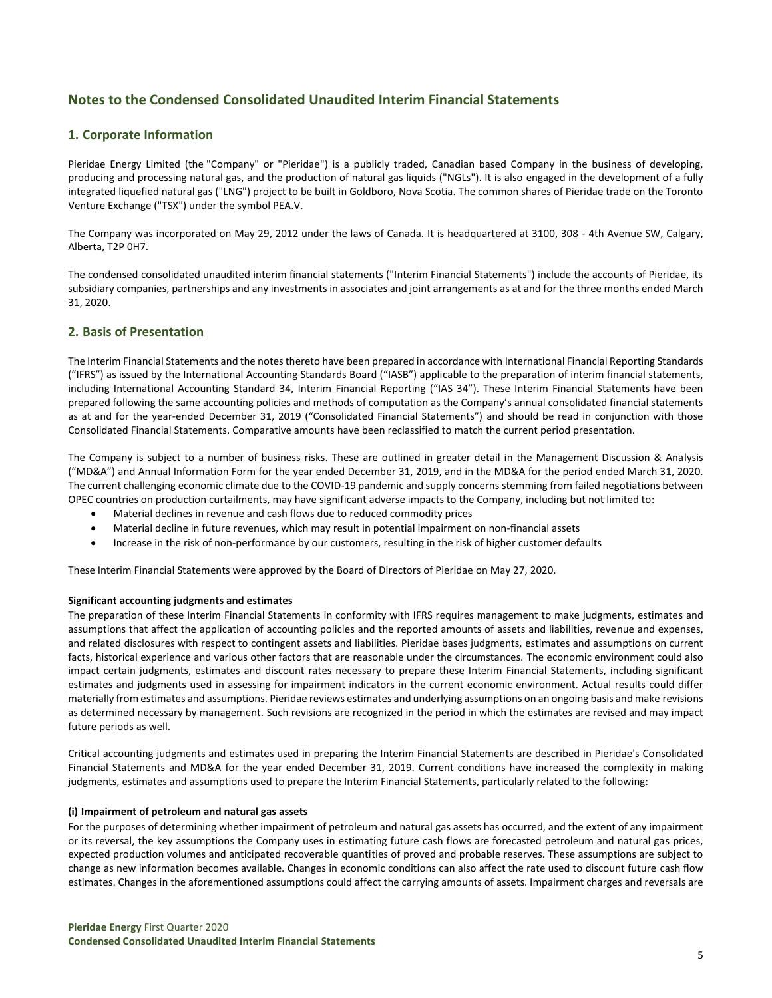## **Notes to the Condensed Consolidated Unaudited Interim Financial Statements**

## **1. Corporate Information**

Pieridae Energy Limited (the "Company" or "Pieridae") is a publicly traded, Canadian based Company in the business of developing, producing and processing natural gas, and the production of natural gas liquids ("NGLs"). It is also engaged in the development of a fully integrated liquefied natural gas ("LNG") project to be built in Goldboro, Nova Scotia. The common shares of Pieridae trade on the Toronto Venture Exchange ("TSX") under the symbol PEA.V.

The Company was incorporated on May 29, 2012 under the laws of Canada. It is headquartered at 3100, 308 - 4th Avenue SW, Calgary, Alberta, T2P 0H7.

The condensed consolidated unaudited interim financial statements ("Interim Financial Statements") include the accounts of Pieridae, its subsidiary companies, partnerships and any investments in associates and joint arrangements as at and for the three months ended March 31, 2020.

#### **2. Basis of Presentation**

The Interim Financial Statements and the notes thereto have been prepared in accordance with International Financial Reporting Standards ("IFRS") as issued by the International Accounting Standards Board ("IASB") applicable to the preparation of interim financial statements, including International Accounting Standard 34, Interim Financial Reporting ("IAS 34"). These Interim Financial Statements have been prepared following the same accounting policies and methods of computation as the Company's annual consolidated financial statements as at and for the year-ended December 31, 2019 ("Consolidated Financial Statements") and should be read in conjunction with those Consolidated Financial Statements. Comparative amounts have been reclassified to match the current period presentation.

The Company is subject to a number of business risks. These are outlined in greater detail in the Management Discussion & Analysis ("MD&A") and Annual Information Form for the year ended December 31, 2019, and in the MD&A for the period ended March 31, 2020. The current challenging economic climate due to the COVID-19 pandemic and supply concerns stemming from failed negotiations between OPEC countries on production curtailments, may have significant adverse impacts to the Company, including but not limited to:

- Material declines in revenue and cash flows due to reduced commodity prices
- Material decline in future revenues, which may result in potential impairment on non-financial assets
- Increase in the risk of non-performance by our customers, resulting in the risk of higher customer defaults

These Interim Financial Statements were approved by the Board of Directors of Pieridae on May 27, 2020.

#### **Significant accounting judgments and estimates**

The preparation of these Interim Financial Statements in conformity with IFRS requires management to make judgments, estimates and assumptions that affect the application of accounting policies and the reported amounts of assets and liabilities, revenue and expenses, and related disclosures with respect to contingent assets and liabilities. Pieridae bases judgments, estimates and assumptions on current facts, historical experience and various other factors that are reasonable under the circumstances. The economic environment could also impact certain judgments, estimates and discount rates necessary to prepare these Interim Financial Statements, including significant estimates and judgments used in assessing for impairment indicators in the current economic environment. Actual results could differ materially from estimates and assumptions. Pieridae reviews estimates and underlying assumptions on an ongoing basis and make revisions as determined necessary by management. Such revisions are recognized in the period in which the estimates are revised and may impact future periods as well.

Critical accounting judgments and estimates used in preparing the Interim Financial Statements are described in Pieridae's Consolidated Financial Statements and MD&A for the year ended December 31, 2019. Current conditions have increased the complexity in making judgments, estimates and assumptions used to prepare the Interim Financial Statements, particularly related to the following:

#### **(i) Impairment of petroleum and natural gas assets**

For the purposes of determining whether impairment of petroleum and natural gas assets has occurred, and the extent of any impairment or its reversal, the key assumptions the Company uses in estimating future cash flows are forecasted petroleum and natural gas prices, expected production volumes and anticipated recoverable quantities of proved and probable reserves. These assumptions are subject to change as new information becomes available. Changes in economic conditions can also affect the rate used to discount future cash flow estimates. Changes in the aforementioned assumptions could affect the carrying amounts of assets. Impairment charges and reversals are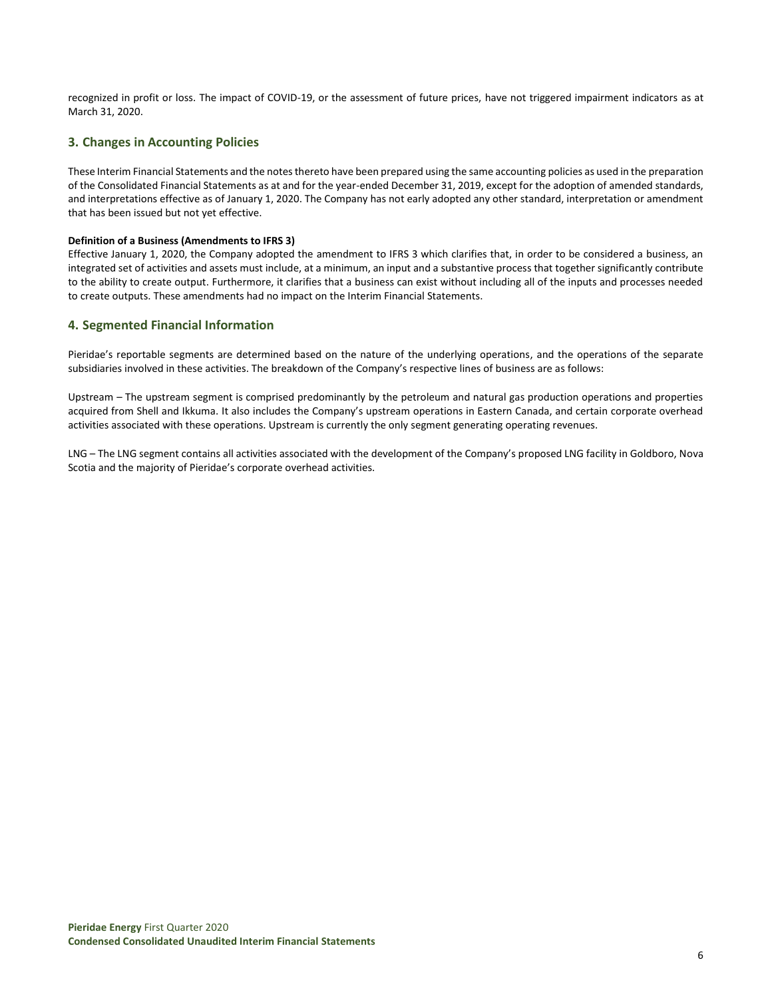recognized in profit or loss. The impact of COVID-19, or the assessment of future prices, have not triggered impairment indicators as at March 31, 2020.

## **3. Changes in Accounting Policies**

These Interim Financial Statements and the notes thereto have been prepared using the same accounting policies as used in the preparation of the Consolidated Financial Statements as at and for the year-ended December 31, 2019, except for the adoption of amended standards, and interpretations effective as of January 1, 2020. The Company has not early adopted any other standard, interpretation or amendment that has been issued but not yet effective.

#### **Definition of a Business (Amendments to IFRS 3)**

Effective January 1, 2020, the Company adopted the amendment to IFRS 3 which clarifies that, in order to be considered a business, an integrated set of activities and assets must include, at a minimum, an input and a substantive process that together significantly contribute to the ability to create output. Furthermore, it clarifies that a business can exist without including all of the inputs and processes needed to create outputs. These amendments had no impact on the Interim Financial Statements.

## **4. Segmented Financial Information**

Pieridae's reportable segments are determined based on the nature of the underlying operations, and the operations of the separate subsidiaries involved in these activities. The breakdown of the Company's respective lines of business are as follows:

Upstream – The upstream segment is comprised predominantly by the petroleum and natural gas production operations and properties acquired from Shell and Ikkuma. It also includes the Company's upstream operations in Eastern Canada, and certain corporate overhead activities associated with these operations. Upstream is currently the only segment generating operating revenues.

LNG – The LNG segment contains all activities associated with the development of the Company's proposed LNG facility in Goldboro, Nova Scotia and the majority of Pieridae's corporate overhead activities.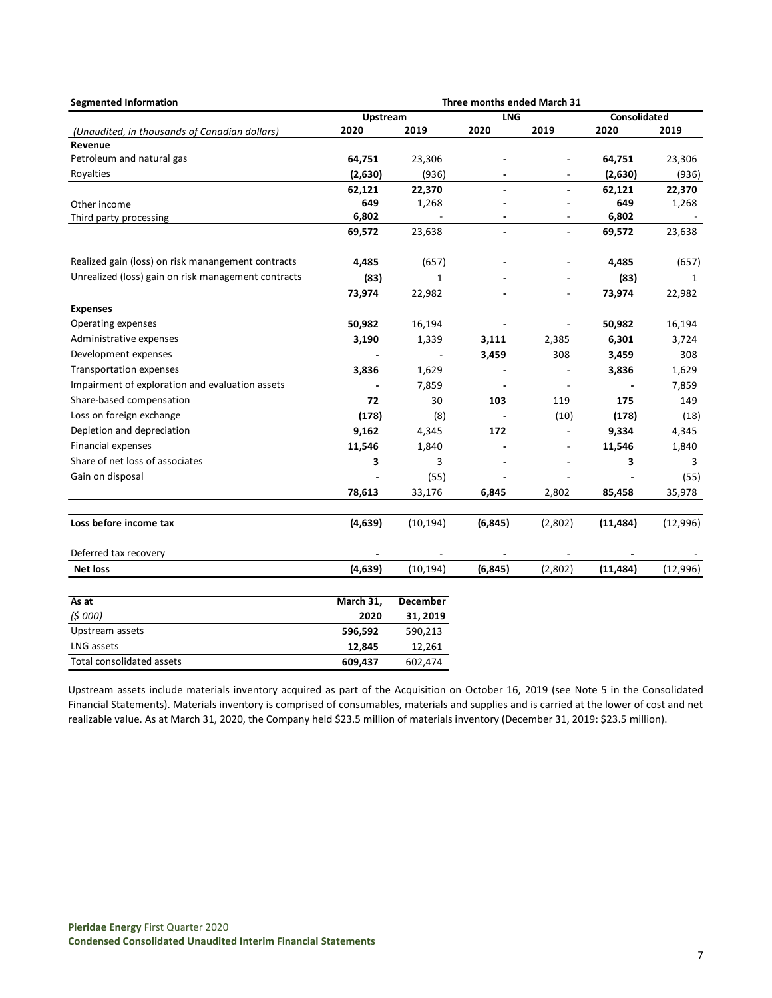| <b>Segmented Information</b>                        | Three months ended March 31 |                 |          |                          |           |          |  |
|-----------------------------------------------------|-----------------------------|-----------------|----------|--------------------------|-----------|----------|--|
|                                                     | <b>LNG</b><br>Upstream      |                 |          | <b>Consolidated</b>      |           |          |  |
| (Unaudited, in thousands of Canadian dollars)       | 2020                        | 2019            | 2020     | 2019                     | 2020      | 2019     |  |
| Revenue                                             |                             |                 |          |                          |           |          |  |
| Petroleum and natural gas                           | 64,751                      | 23,306          |          |                          | 64,751    | 23,306   |  |
| Royalties                                           | (2,630)                     | (936)           |          |                          | (2,630)   | (936)    |  |
|                                                     | 62,121                      | 22,370          |          |                          | 62,121    | 22,370   |  |
| Other income                                        | 649                         | 1,268           |          |                          | 649       | 1,268    |  |
| Third party processing                              | 6,802                       |                 |          |                          | 6,802     |          |  |
|                                                     | 69,572                      | 23,638          |          | $\overline{\phantom{a}}$ | 69,572    | 23,638   |  |
| Realized gain (loss) on risk manangement contracts  | 4,485                       | (657)           |          |                          | 4,485     | (657)    |  |
| Unrealized (loss) gain on risk management contracts | (83)                        | $\mathbf{1}$    |          |                          | (83)      | 1        |  |
|                                                     | 73,974                      | 22,982          |          | $\overline{\phantom{a}}$ | 73,974    | 22,982   |  |
| <b>Expenses</b>                                     |                             |                 |          |                          |           |          |  |
| Operating expenses                                  | 50,982                      | 16,194          |          | $\overline{a}$           | 50,982    | 16,194   |  |
| Administrative expenses                             | 3,190                       | 1,339           | 3,111    | 2,385                    | 6,301     | 3,724    |  |
| Development expenses                                |                             |                 | 3,459    | 308                      | 3,459     | 308      |  |
| Transportation expenses                             | 3,836                       | 1,629           |          |                          | 3,836     | 1,629    |  |
| Impairment of exploration and evaluation assets     |                             | 7,859           |          |                          |           | 7,859    |  |
| Share-based compensation                            | 72                          | 30              | 103      | 119                      | 175       | 149      |  |
| Loss on foreign exchange                            | (178)                       | (8)             |          | (10)                     | (178)     | (18)     |  |
| Depletion and depreciation                          | 9,162                       | 4,345           | 172      |                          | 9,334     | 4,345    |  |
| <b>Financial expenses</b>                           | 11,546                      | 1,840           |          | $\overline{a}$           | 11,546    | 1,840    |  |
| Share of net loss of associates                     | 3                           | 3               |          |                          | 3         | 3        |  |
| Gain on disposal                                    |                             | (55)            |          |                          |           | (55)     |  |
|                                                     | 78,613                      | 33,176          | 6,845    | 2,802                    | 85,458    | 35,978   |  |
| Loss before income tax                              | (4,639)                     | (10, 194)       | (6, 845) | (2,802)                  | (11, 484) | (12,996) |  |
|                                                     |                             |                 |          |                          |           |          |  |
| Deferred tax recovery                               |                             |                 |          |                          |           |          |  |
| <b>Net loss</b>                                     | (4,639)                     | (10, 194)       | (6, 845) | (2,802)                  | (11, 484) | (12,996) |  |
| As at                                               | March 31,                   | <b>December</b> |          |                          |           |          |  |
| (5000)                                              | 2020                        | 31, 2019        |          |                          |           |          |  |
| Upstream assets                                     | 596,592                     | 590,213         |          |                          |           |          |  |
| LNG assets                                          | 12,845                      | 12,261          |          |                          |           |          |  |
| Total consolidated assets                           | 609,437                     | 602,474         |          |                          |           |          |  |

Upstream assets include materials inventory acquired as part of the Acquisition on October 16, 2019 (see Note 5 in the Consolidated Financial Statements). Materials inventory is comprised of consumables, materials and supplies and is carried at the lower of cost and net realizable value. As at March 31, 2020, the Company held \$23.5 million of materials inventory (December 31, 2019: \$23.5 million).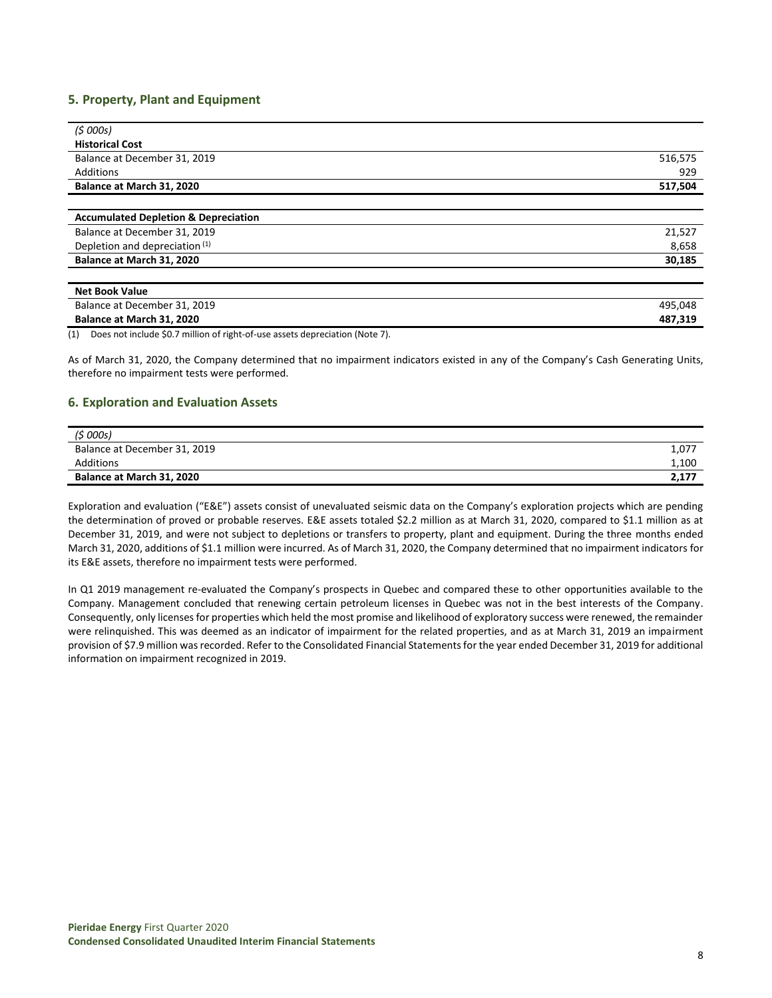## **5. Property, Plant and Equipment**

| (5000s)                                         |         |
|-------------------------------------------------|---------|
| <b>Historical Cost</b>                          |         |
| Balance at December 31, 2019                    | 516,575 |
| Additions                                       | 929     |
| Balance at March 31, 2020                       | 517,504 |
|                                                 |         |
| <b>Accumulated Depletion &amp; Depreciation</b> |         |
| Balance at December 31, 2019                    | 21,527  |
| Depletion and depreciation (1)                  | 8,658   |
| Balance at March 31, 2020                       | 30,185  |
|                                                 |         |
| <b>Net Book Value</b>                           |         |
| Balance at December 31, 2019                    | 495,048 |
| Balance at March 31, 2020                       | 487,319 |

(1) Does not include \$0.7 million of right-of-use assets depreciation (Note 7).

As of March 31, 2020, the Company determined that no impairment indicators existed in any of the Company's Cash Generating Units, therefore no impairment tests were performed.

#### **6. Exploration and Evaluation Assets**

| (\$ 000s)                    |       |
|------------------------------|-------|
| Balance at December 31, 2019 | 1,077 |
| Additions                    | 1,100 |
| Balance at March 31, 2020    | 2,177 |

Exploration and evaluation ("E&E") assets consist of unevaluated seismic data on the Company's exploration projects which are pending the determination of proved or probable reserves. E&E assets totaled \$2.2 million as at March 31, 2020, compared to \$1.1 million as at December 31, 2019, and were not subject to depletions or transfers to property, plant and equipment. During the three months ended March 31, 2020, additions of \$1.1 million were incurred. As of March 31, 2020, the Company determined that no impairment indicators for its E&E assets, therefore no impairment tests were performed.

In Q1 2019 management re-evaluated the Company's prospects in Quebec and compared these to other opportunities available to the Company. Management concluded that renewing certain petroleum licenses in Quebec was not in the best interests of the Company. Consequently, only licenses for properties which held the most promise and likelihood of exploratory success were renewed, the remainder were relinquished. This was deemed as an indicator of impairment for the related properties, and as at March 31, 2019 an impairment provision of \$7.9 million was recorded. Refer to the Consolidated Financial Statements for the year ended December 31, 2019 for additional information on impairment recognized in 2019.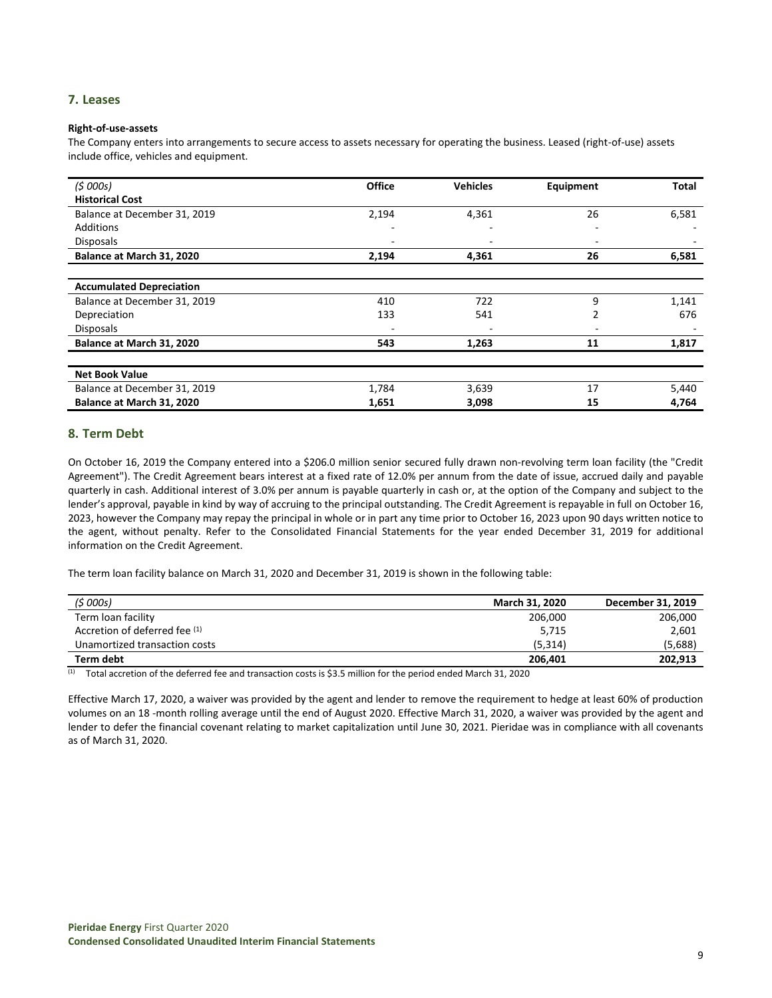## **7. Leases**

#### **Right-of-use-assets**

The Company enters into arrangements to secure access to assets necessary for operating the business. Leased (right-of-use) assets include office, vehicles and equipment.

| (5000s)                         | <b>Office</b>            | <b>Vehicles</b> | Equipment                | <b>Total</b> |
|---------------------------------|--------------------------|-----------------|--------------------------|--------------|
| <b>Historical Cost</b>          |                          |                 |                          |              |
| Balance at December 31, 2019    | 2,194                    | 4,361           | 26                       | 6,581        |
| Additions                       | -                        |                 |                          |              |
| <b>Disposals</b>                | -                        |                 |                          |              |
| Balance at March 31, 2020       | 2,194                    | 4,361           | 26                       | 6,581        |
|                                 |                          |                 |                          |              |
| <b>Accumulated Depreciation</b> |                          |                 |                          |              |
| Balance at December 31, 2019    | 410                      | 722             | 9                        | 1,141        |
| Depreciation                    | 133                      | 541             | 2                        | 676          |
| <b>Disposals</b>                | $\overline{\phantom{0}}$ |                 | $\overline{\phantom{0}}$ |              |
| Balance at March 31, 2020       | 543                      | 1,263           | 11                       | 1,817        |
|                                 |                          |                 |                          |              |
| <b>Net Book Value</b>           |                          |                 |                          |              |
| Balance at December 31, 2019    | 1,784                    | 3,639           | 17                       | 5,440        |
| Balance at March 31, 2020       | 1,651                    | 3,098           | 15                       | 4,764        |

## **8. Term Debt**

On October 16, 2019 the Company entered into a \$206.0 million senior secured fully drawn non-revolving term loan facility (the "Credit Agreement"). The Credit Agreement bears interest at a fixed rate of 12.0% per annum from the date of issue, accrued daily and payable quarterly in cash. Additional interest of 3.0% per annum is payable quarterly in cash or, at the option of the Company and subject to the lender's approval, payable in kind by way of accruing to the principal outstanding. The Credit Agreement is repayable in full on October 16, 2023, however the Company may repay the principal in whole or in part any time prior to October 16, 2023 upon 90 days written notice to the agent, without penalty. Refer to the Consolidated Financial Statements for the year ended December 31, 2019 for additional information on the Credit Agreement.

The term loan facility balance on March 31, 2020 and December 31, 2019 is shown in the following table:

| (\$ 000s)                     | <b>March 31, 2020</b> | December 31, 2019 |
|-------------------------------|-----------------------|-------------------|
| Term loan facility            | 206,000               | 206,000           |
| Accretion of deferred fee (1) | 5,715                 | 2,601             |
| Unamortized transaction costs | (5.314)               | (5,688)           |
| Term debt                     | 206.401               | 202.913           |

 $(1)$  Total accretion of the deferred fee and transaction costs is \$3.5 million for the period ended March 31, 2020

Effective March 17, 2020, a waiver was provided by the agent and lender to remove the requirement to hedge at least 60% of production volumes on an 18 -month rolling average until the end of August 2020. Effective March 31, 2020, a waiver was provided by the agent and lender to defer the financial covenant relating to market capitalization until June 30, 2021. Pieridae was in compliance with all covenants as of March 31, 2020.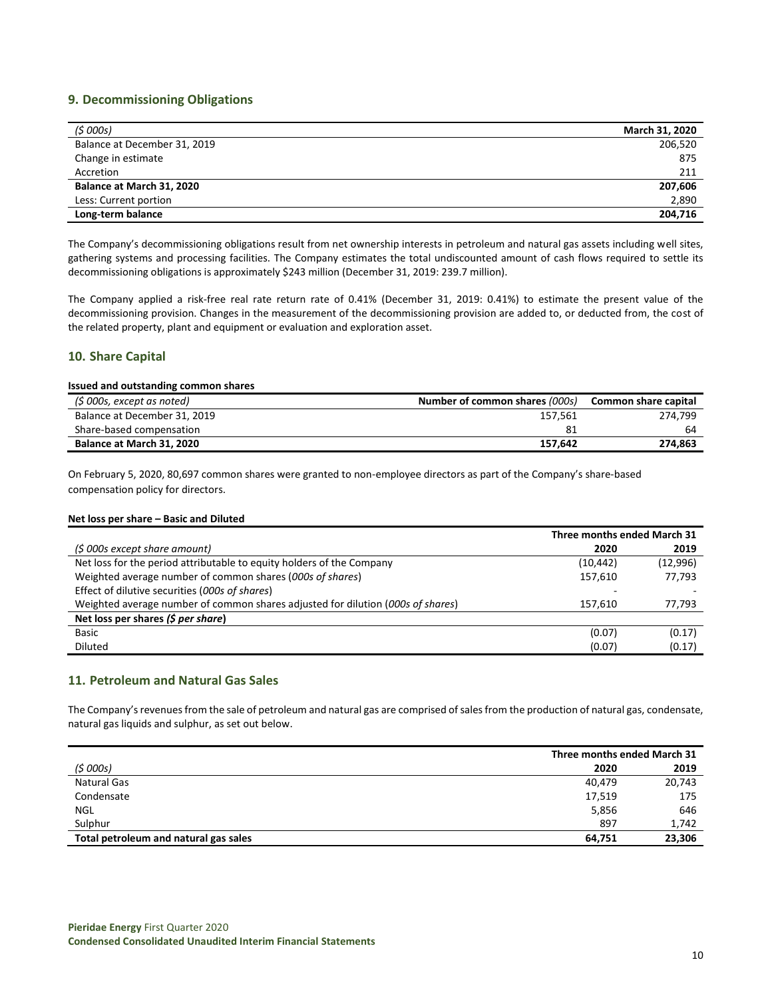## **9. Decommissioning Obligations**

| (5000s)                      | March 31, 2020 |
|------------------------------|----------------|
| Balance at December 31, 2019 | 206,520        |
| Change in estimate           | 875            |
| Accretion                    | 211            |
| Balance at March 31, 2020    | 207,606        |
| Less: Current portion        | 2,890          |
| Long-term balance            | 204,716        |

The Company's decommissioning obligations result from net ownership interests in petroleum and natural gas assets including well sites, gathering systems and processing facilities. The Company estimates the total undiscounted amount of cash flows required to settle its decommissioning obligations is approximately \$243 million (December 31, 2019: 239.7 million).

The Company applied a risk-free real rate return rate of 0.41% (December 31, 2019: 0.41%) to estimate the present value of the decommissioning provision. Changes in the measurement of the decommissioning provision are added to, or deducted from, the cost of the related property, plant and equipment or evaluation and exploration asset.

## **10. Share Capital**

#### **Issued and outstanding common shares**

| (\$ 000s, except as noted)   | Number of common shares (000s) | Common share capital |
|------------------------------|--------------------------------|----------------------|
| Balance at December 31, 2019 | 157.561                        | 274.799              |
| Share-based compensation     |                                | 64                   |
| Balance at March 31, 2020    | 157.642                        | 274.863              |

On February 5, 2020, 80,697 common shares were granted to non-employee directors as part of the Company's share-based compensation policy for directors.

#### **Net loss per share – Basic and Diluted**

|                                                                                 | Three months ended March 31 |          |
|---------------------------------------------------------------------------------|-----------------------------|----------|
| (\$ 000s except share amount)                                                   | 2020                        | 2019     |
| Net loss for the period attributable to equity holders of the Company           | (10, 442)                   | (12,996) |
| Weighted average number of common shares (000s of shares)                       | 157,610                     | 77,793   |
| Effect of dilutive securities (000s of shares)                                  |                             |          |
| Weighted average number of common shares adjusted for dilution (000s of shares) | 157.610                     | 77,793   |
| Net loss per shares (\$ per share)                                              |                             |          |
| Basic                                                                           | (0.07)                      | (0.17)   |
| <b>Diluted</b>                                                                  | (0.07)                      | (0.17)   |

#### **11. Petroleum and Natural Gas Sales**

The Company's revenues from the sale of petroleum and natural gas are comprised of sales from the production of natural gas, condensate, natural gas liquids and sulphur, as set out below.

|                                       |        | Three months ended March 31 |  |
|---------------------------------------|--------|-----------------------------|--|
| (5000s)                               | 2020   | 2019                        |  |
| Natural Gas                           | 40,479 | 20,743                      |  |
| Condensate                            | 17,519 | 175                         |  |
| NGL                                   | 5,856  | 646                         |  |
| Sulphur                               | 897    | 1,742                       |  |
| Total petroleum and natural gas sales | 64.751 | 23,306                      |  |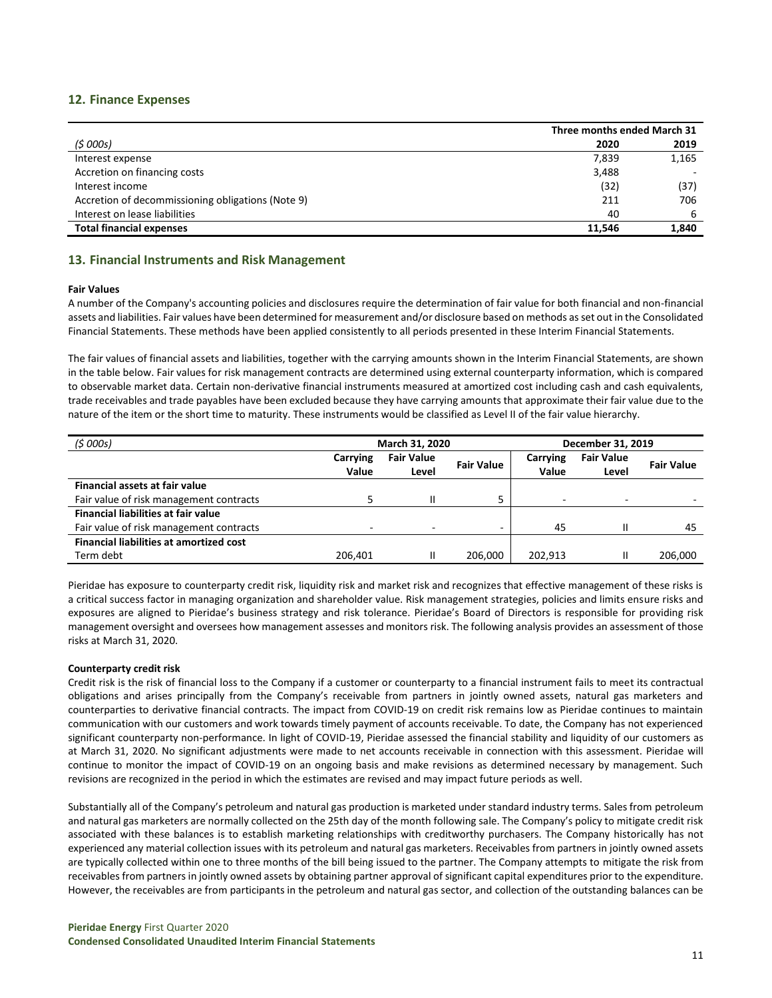## **12. Finance Expenses**

|                                                   |        | Three months ended March 31 |  |
|---------------------------------------------------|--------|-----------------------------|--|
| (5000s)                                           | 2020   | 2019                        |  |
| Interest expense                                  | 7,839  | 1,165                       |  |
| Accretion on financing costs                      | 3,488  |                             |  |
| Interest income                                   | (32)   | (37)                        |  |
| Accretion of decommissioning obligations (Note 9) | 211    | 706                         |  |
| Interest on lease liabilities                     | 40     | 6                           |  |
| <b>Total financial expenses</b>                   | 11.546 | 1,840                       |  |

## **13. Financial Instruments and Risk Management**

#### **Fair Values**

A number of the Company's accounting policies and disclosures require the determination of fair value for both financial and non-financial assets and liabilities. Fair values have been determined for measurement and/or disclosure based on methods as set out in the Consolidated Financial Statements. These methods have been applied consistently to all periods presented in these Interim Financial Statements.

The fair values of financial assets and liabilities, together with the carrying amounts shown in the Interim Financial Statements, are shown in the table below. Fair values for risk management contracts are determined using external counterparty information, which is compared to observable market data. Certain non-derivative financial instruments measured at amortized cost including cash and cash equivalents, trade receivables and trade payables have been excluded because they have carrying amounts that approximate their fair value due to the nature of the item or the short time to maturity. These instruments would be classified as Level II of the fair value hierarchy.

| (5000s)                                        | March 31, 2020           |                            |                   | December 31, 2019 |                            |                   |
|------------------------------------------------|--------------------------|----------------------------|-------------------|-------------------|----------------------------|-------------------|
|                                                | Carrying<br>Value        | <b>Fair Value</b><br>Level | <b>Fair Value</b> | Carrying<br>Value | <b>Fair Value</b><br>Level | <b>Fair Value</b> |
| Financial assets at fair value                 |                          |                            |                   |                   |                            |                   |
| Fair value of risk management contracts        |                          |                            |                   | $\sim$            | $\overline{\phantom{0}}$   |                   |
| <b>Financial liabilities at fair value</b>     |                          |                            |                   |                   |                            |                   |
| Fair value of risk management contracts        | $\overline{\phantom{0}}$ |                            | -                 | 45                | Ш                          | 45                |
| <b>Financial liabilities at amortized cost</b> |                          |                            |                   |                   |                            |                   |
| Term debt                                      | 206,401                  |                            | 206.000           | 202,913           | Ш                          | 206.000           |

Pieridae has exposure to counterparty credit risk, liquidity risk and market risk and recognizes that effective management of these risks is a critical success factor in managing organization and shareholder value. Risk management strategies, policies and limits ensure risks and exposures are aligned to Pieridae's business strategy and risk tolerance. Pieridae's Board of Directors is responsible for providing risk management oversight and oversees how management assesses and monitors risk. The following analysis provides an assessment of those risks at March 31, 2020.

#### **Counterparty credit risk**

Credit risk is the risk of financial loss to the Company if a customer or counterparty to a financial instrument fails to meet its contractual obligations and arises principally from the Company's receivable from partners in jointly owned assets, natural gas marketers and counterparties to derivative financial contracts. The impact from COVID-19 on credit risk remains low as Pieridae continues to maintain communication with our customers and work towards timely payment of accounts receivable. To date, the Company has not experienced significant counterparty non-performance. In light of COVID-19, Pieridae assessed the financial stability and liquidity of our customers as at March 31, 2020. No significant adjustments were made to net accounts receivable in connection with this assessment. Pieridae will continue to monitor the impact of COVID-19 on an ongoing basis and make revisions as determined necessary by management. Such revisions are recognized in the period in which the estimates are revised and may impact future periods as well.

Substantially all of the Company's petroleum and natural gas production is marketed under standard industry terms. Sales from petroleum and natural gas marketers are normally collected on the 25th day of the month following sale. The Company's policy to mitigate credit risk associated with these balances is to establish marketing relationships with creditworthy purchasers. The Company historically has not experienced any material collection issues with its petroleum and natural gas marketers. Receivables from partners in jointly owned assets are typically collected within one to three months of the bill being issued to the partner. The Company attempts to mitigate the risk from receivables from partners in jointly owned assets by obtaining partner approval of significant capital expenditures prior to the expenditure. However, the receivables are from participants in the petroleum and natural gas sector, and collection of the outstanding balances can be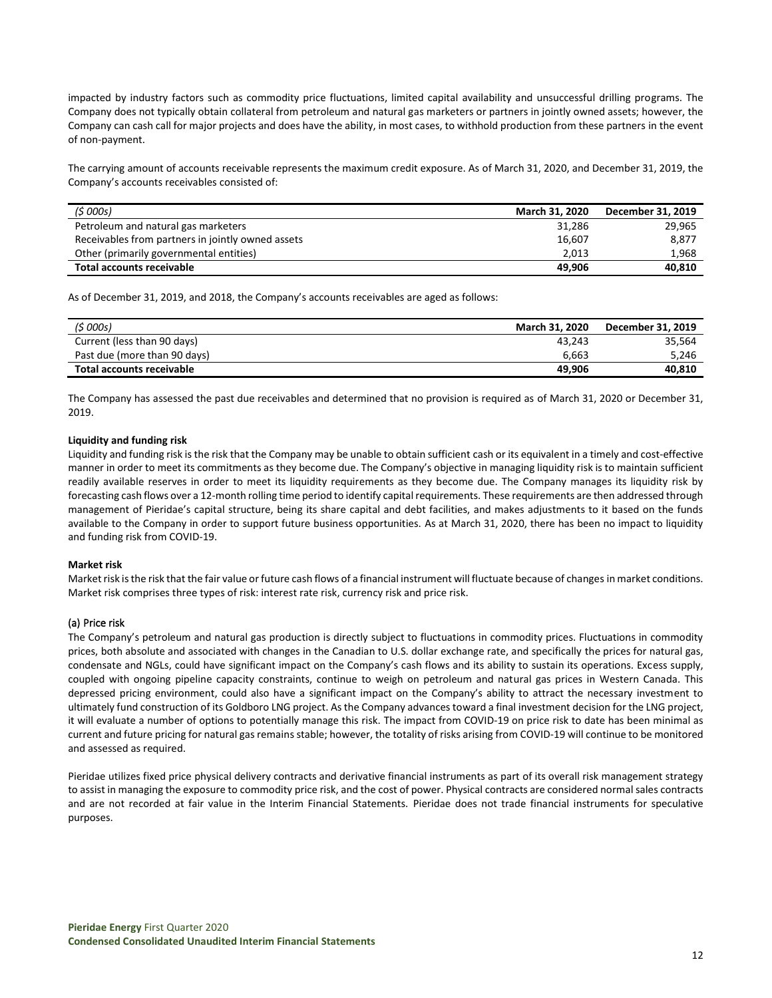impacted by industry factors such as commodity price fluctuations, limited capital availability and unsuccessful drilling programs. The Company does not typically obtain collateral from petroleum and natural gas marketers or partners in jointly owned assets; however, the Company can cash call for major projects and does have the ability, in most cases, to withhold production from these partners in the event of non-payment.

The carrying amount of accounts receivable represents the maximum credit exposure. As of March 31, 2020, and December 31, 2019, the Company's accounts receivables consisted of:

| (5000s)                                           | <b>March 31, 2020</b> | December 31, 2019 |
|---------------------------------------------------|-----------------------|-------------------|
| Petroleum and natural gas marketers               | 31,286                | 29,965            |
| Receivables from partners in jointly owned assets | 16.607                | 8,877             |
| Other (primarily governmental entities)           | 2.013                 | 1.968             |
| Total accounts receivable                         | 49.906                | 40,810            |

As of December 31, 2019, and 2018, the Company's accounts receivables are aged as follows:

| (5000s)                      | March 31, 2020 | December 31. 2019 |
|------------------------------|----------------|-------------------|
| Current (less than 90 days)  | 43.243         | 35.564            |
| Past due (more than 90 days) | 6.663          | 5.246             |
| Total accounts receivable    | 49.906         | 40,810            |

The Company has assessed the past due receivables and determined that no provision is required as of March 31, 2020 or December 31, 2019.

#### **Liquidity and funding risk**

Liquidity and funding risk is the risk that the Company may be unable to obtain sufficient cash or its equivalent in a timely and cost-effective manner in order to meet its commitments as they become due. The Company's objective in managing liquidity risk is to maintain sufficient readily available reserves in order to meet its liquidity requirements as they become due. The Company manages its liquidity risk by forecasting cash flows over a 12-month rolling time period to identify capital requirements. These requirements are then addressed through management of Pieridae's capital structure, being its share capital and debt facilities, and makes adjustments to it based on the funds available to the Company in order to support future business opportunities. As at March 31, 2020, there has been no impact to liquidity and funding risk from COVID-19.

#### **Market risk**

Market risk is the risk that the fair value or future cash flows of a financial instrument will fluctuate because of changes in market conditions. Market risk comprises three types of risk: interest rate risk, currency risk and price risk.

#### (a) Price risk

The Company's petroleum and natural gas production is directly subject to fluctuations in commodity prices. Fluctuations in commodity prices, both absolute and associated with changes in the Canadian to U.S. dollar exchange rate, and specifically the prices for natural gas, condensate and NGLs, could have significant impact on the Company's cash flows and its ability to sustain its operations. Excess supply, coupled with ongoing pipeline capacity constraints, continue to weigh on petroleum and natural gas prices in Western Canada. This depressed pricing environment, could also have a significant impact on the Company's ability to attract the necessary investment to ultimately fund construction of its Goldboro LNG project. As the Company advances toward a final investment decision for the LNG project, it will evaluate a number of options to potentially manage this risk. The impact from COVID-19 on price risk to date has been minimal as current and future pricing for natural gas remains stable; however, the totality of risks arising from COVID-19 will continue to be monitored and assessed as required.

Pieridae utilizes fixed price physical delivery contracts and derivative financial instruments as part of its overall risk management strategy to assist in managing the exposure to commodity price risk, and the cost of power. Physical contracts are considered normal sales contracts and are not recorded at fair value in the Interim Financial Statements. Pieridae does not trade financial instruments for speculative purposes.